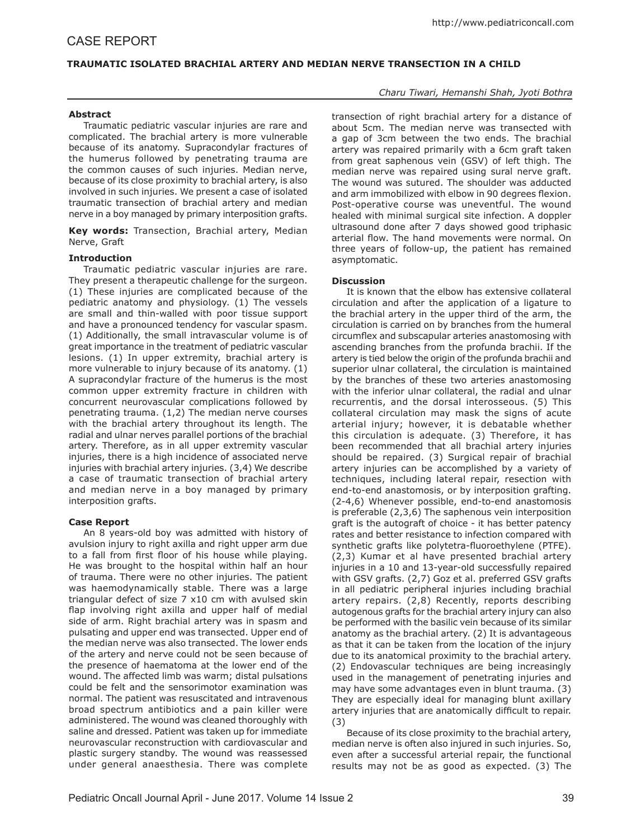# **TRAUMATIC ISOLATED BRACHIAL ARTERY AND MEDIAN NERVE TRANSECTION IN A CHILD**

### **Abstract**

Traumatic pediatric vascular injuries are rare and complicated. The brachial artery is more vulnerable because of its anatomy. Supracondylar fractures of the humerus followed by penetrating trauma are the common causes of such injuries. Median nerve, because of its close proximity to brachial artery, is also involved in such injuries. We present a case of isolated traumatic transection of brachial artery and median nerve in a boy managed by primary interposition grafts.

**Key words:** Transection, Brachial artery, Median Nerve, Graft

### **Introduction**

Traumatic pediatric vascular injuries are rare. They present a therapeutic challenge for the surgeon. (1) These injuries are complicated because of the pediatric anatomy and physiology. (1) The vessels are small and thin-walled with poor tissue support and have a pronounced tendency for vascular spasm. (1) Additionally, the small intravascular volume is of great importance in the treatment of pediatric vascular lesions. (1) In upper extremity, brachial artery is more vulnerable to injury because of its anatomy. (1) A supracondylar fracture of the humerus is the most common upper extremity fracture in children with concurrent neurovascular complications followed by penetrating trauma. (1,2) The median nerve courses with the brachial artery throughout its length. The radial and ulnar nerves parallel portions of the brachial artery. Therefore, as in all upper extremity vascular injuries, there is a high incidence of associated nerve injuries with brachial artery injuries. (3,4) We describe a case of traumatic transection of brachial artery and median nerve in a boy managed by primary interposition grafts.

#### **Case Report**

An 8 years-old boy was admitted with history of avulsion injury to right axilla and right upper arm due to a fall from first floor of his house while playing. He was brought to the hospital within half an hour of trauma. There were no other injuries. The patient was haemodynamically stable. There was a large triangular defect of size 7 x10 cm with avulsed skin flap involving right axilla and upper half of medial side of arm. Right brachial artery was in spasm and pulsating and upper end was transected. Upper end of the median nerve was also transected. The lower ends of the artery and nerve could not be seen because of the presence of haematoma at the lower end of the wound. The affected limb was warm; distal pulsations could be felt and the sensorimotor examination was normal. The patient was resuscitated and intravenous broad spectrum antibiotics and a pain killer were administered. The wound was cleaned thoroughly with saline and dressed. Patient was taken up for immediate neurovascular reconstruction with cardiovascular and plastic surgery standby. The wound was reassessed under general anaesthesia. There was complete

# *Charu Tiwari, Hemanshi Shah, Jyoti Bothra*

transection of right brachial artery for a distance of about 5cm. The median nerve was transected with a gap of 3cm between the two ends. The brachial artery was repaired primarily with a 6cm graft taken from great saphenous vein (GSV) of left thigh. The median nerve was repaired using sural nerve graft. The wound was sutured. The shoulder was adducted and arm immobilized with elbow in 90 degrees flexion. Post-operative course was uneventful. The wound healed with minimal surgical site infection. A doppler ultrasound done after 7 days showed good triphasic arterial flow. The hand movements were normal. On three years of follow-up, the patient has remained asymptomatic.

### **Discussion**

It is known that the elbow has extensive collateral circulation and after the application of a ligature to the brachial artery in the upper third of the arm, the circulation is carried on by branches from the humeral circumflex and subscapular arteries anastomosing with ascending branches from the profunda brachii. If the artery is tied below the origin of the profunda brachii and superior ulnar collateral, the circulation is maintained by the branches of these two arteries anastomosing with the inferior ulnar collateral, the radial and ulnar recurrentis, and the dorsal interosseous. (5) This collateral circulation may mask the signs of acute arterial injury; however, it is debatable whether this circulation is adequate. (3) Therefore, it has been recommended that all brachial artery injuries should be repaired. (3) Surgical repair of brachial artery injuries can be accomplished by a variety of techniques, including lateral repair, resection with end-to-end anastomosis, or by interposition grafting. (2-4,6) Whenever possible, end-to-end anastomosis is preferable (2,3,6) The saphenous vein interposition graft is the autograft of choice - it has better patency rates and better resistance to infection compared with synthetic grafts like polytetra-fluoroethylene (PTFE). (2,3) Kumar et al have presented brachial artery injuries in a 10 and 13-year-old successfully repaired with GSV grafts. (2,7) Goz et al. preferred GSV grafts in all pediatric peripheral injuries including brachial artery repairs. (2,8) Recently, reports describing autogenous grafts for the brachial artery injury can also be performed with the basilic vein because of its similar anatomy as the brachial artery. (2) It is advantageous as that it can be taken from the location of the injury due to its anatomical proximity to the brachial artery. (2) Endovascular techniques are being increasingly used in the management of penetrating injuries and may have some advantages even in blunt trauma. (3) They are especially ideal for managing blunt axillary artery injuries that are anatomically difficult to repair. (3)

Because of its close proximity to the brachial artery, median nerve is often also injured in such injuries. So, even after a successful arterial repair, the functional results may not be as good as expected. (3) The